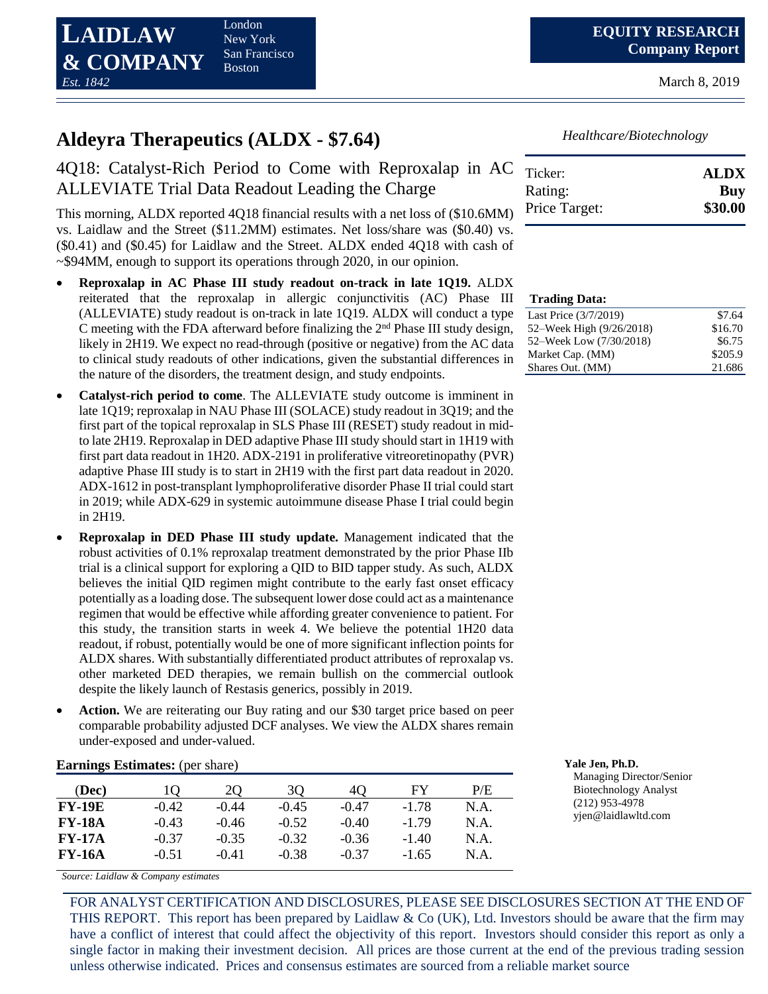London New York San Francisco Boston

March 8, 2019

# **Aldeyra Therapeutics (ALDX - \$7.64)**

## 4Q18: Catalyst-Rich Period to Come with Reproxalap in AC ALLEVIATE Trial Data Readout Leading the Charge

This morning, ALDX reported 4Q18 financial results with a net loss of (\$10.6MM) vs. Laidlaw and the Street (\$11.2MM) estimates. Net loss/share was (\$0.40) vs. (\$0.41) and (\$0.45) for Laidlaw and the Street. ALDX ended 4Q18 with cash of ~\$94MM, enough to support its operations through 2020, in our opinion.

- **Reproxalap in AC Phase III study readout on-track in late 1Q19.** ALDX reiterated that the reproxalap in allergic conjunctivitis (AC) Phase III (ALLEVIATE) study readout is on-track in late 1Q19. ALDX will conduct a type C meeting with the FDA afterward before finalizing the  $2<sup>nd</sup>$  Phase III study design, likely in 2H19. We expect no read-through (positive or negative) from the AC data to clinical study readouts of other indications, given the substantial differences in the nature of the disorders, the treatment design, and study endpoints.
- **Catalyst-rich period to come**. The ALLEVIATE study outcome is imminent in late 1Q19; reproxalap in NAU Phase III (SOLACE) study readout in 3Q19; and the first part of the topical reproxalap in SLS Phase III (RESET) study readout in midto late 2H19. Reproxalap in DED adaptive Phase III study should start in 1H19 with first part data readout in 1H20. ADX-2191 in proliferative vitreoretinopathy (PVR) adaptive Phase III study is to start in 2H19 with the first part data readout in 2020. ADX-1612 in post-transplant lymphoproliferative disorder Phase II trial could start in 2019; while ADX-629 in systemic autoimmune disease Phase I trial could begin in 2H19.
- **Reproxalap in DED Phase III study update.** Management indicated that the robust activities of 0.1% reproxalap treatment demonstrated by the prior Phase IIb trial is a clinical support for exploring a QID to BID tapper study. As such, ALDX believes the initial QID regimen might contribute to the early fast onset efficacy potentially as a loading dose. The subsequent lower dose could act as a maintenance regimen that would be effective while affording greater convenience to patient. For this study, the transition starts in week 4. We believe the potential 1H20 data readout, if robust, potentially would be one of more significant inflection points for ALDX shares. With substantially differentiated product attributes of reproxalap vs. other marketed DED therapies, we remain bullish on the commercial outlook despite the likely launch of Restasis generics, possibly in 2019.
- **Action.** We are reiterating our Buy rating and our \$30 target price based on peer comparable probability adjusted DCF analyses. We view the ALDX shares remain under-exposed and under-valued.

| $E$ al lilligs Estimates. (pci share) |         |         |         |         |         |      |  |  |  |
|---------------------------------------|---------|---------|---------|---------|---------|------|--|--|--|
| (Dec)                                 |         | 20      | 30      | 40      | FY      | P/E  |  |  |  |
| <b>FY-19E</b>                         | $-0.42$ | $-0.44$ | $-0.45$ | $-0.47$ | $-1.78$ | N.A. |  |  |  |
| <b>FY-18A</b>                         | $-0.43$ | $-0.46$ | $-0.52$ | $-0.40$ | $-179$  | N.A. |  |  |  |
| <b>FY-17A</b>                         | $-0.37$ | $-0.35$ | $-0.32$ | $-0.36$ | $-1.40$ | N.A. |  |  |  |
| <b>FY-16A</b>                         | $-0.51$ | $-0.41$ | $-0.38$ | $-0.37$ | $-1.65$ | N.A. |  |  |  |

*Source: Laidlaw & Company estimates*

FOR ANALYST CERTIFICATION AND DISCLOSURES, PLEASE SEE DISCLOSURES SECTION AT THE END OF THIS REPORT. This report has been prepared by Laidlaw  $\&$  Co (UK), Ltd. Investors should be aware that the firm may have a conflict of interest that could affect the objectivity of this report. Investors should consider this report as only a single factor in making their investment decision. All prices are those current at the end of the previous trading session unless otherwise indicated. Prices and consensus estimates are sourced from a reliable market source

*Healthcare/Biotechnology*

| Ticker:       | <b>ALDX</b> |
|---------------|-------------|
| Rating:       | Buy         |
| Price Target: | \$30.00     |

| <b>Trading Data:</b>     |         |
|--------------------------|---------|
| Last Price (3/7/2019)    | \$7.64  |
| 52–Week High (9/26/2018) | \$16.70 |
| 52–Week Low (7/30/2018)  | \$6.75  |
| Market Cap. (MM)         | \$205.9 |
| Shares Out. (MM)         | 21.686  |

**Earnings Estimates:** (per share) **Yale Jen, Ph.D.**

Managing Director/Senior Biotechnology Analyst (212) 953-4978 yjen@laidlawltd.com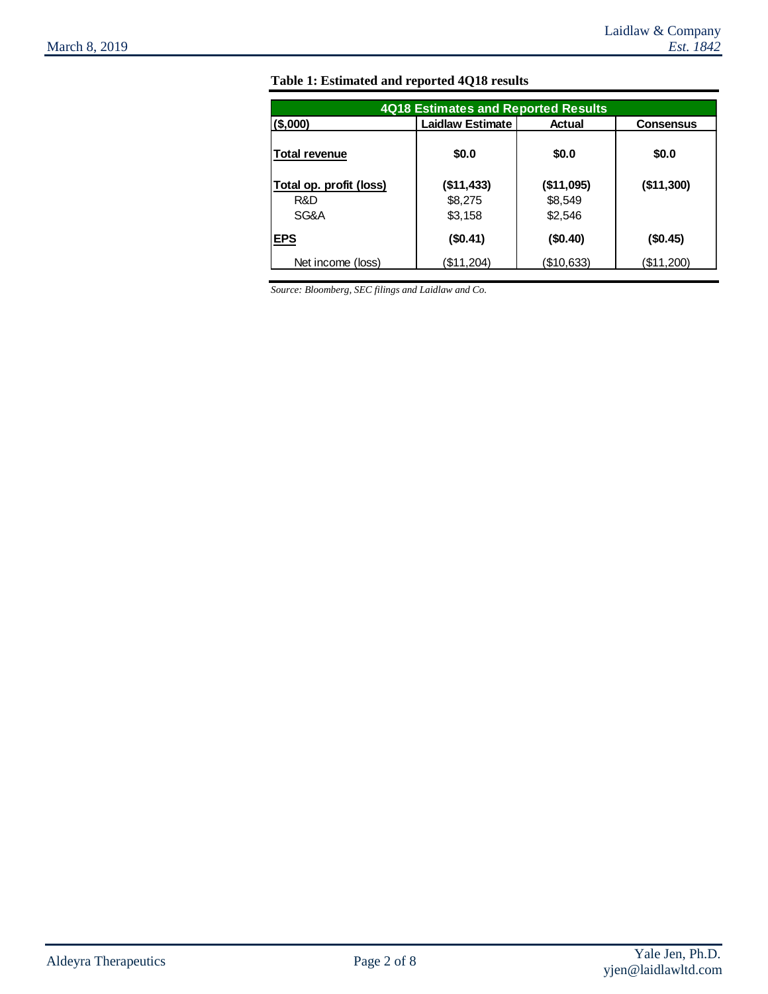| <b>4Q18 Estimates and Reported Results</b> |                         |            |                  |  |  |  |  |  |
|--------------------------------------------|-------------------------|------------|------------------|--|--|--|--|--|
| $($ \$,000)                                | <b>Laidlaw Estimate</b> | Actual     | <b>Consensus</b> |  |  |  |  |  |
| <b>Total revenue</b>                       | \$0.0                   | \$0.0      | \$0.0            |  |  |  |  |  |
| Total op. profit (loss)                    | (\$11,433)              | (\$11,095) | (\$11,300)       |  |  |  |  |  |
| R&D                                        | \$8,275                 | \$8,549    |                  |  |  |  |  |  |
| SG&A                                       | \$3,158                 | \$2,546    |                  |  |  |  |  |  |
| <b>EPS</b>                                 | (\$0.41)                | (\$0.40)   | (\$0.45)         |  |  |  |  |  |
| Net income (loss)                          | (\$11,204)              | (\$10,633) | (\$11,200)       |  |  |  |  |  |

## **Table 1: Estimated and reported 4Q18 results**

*Source: Bloomberg, SEC filings and Laidlaw and Co.*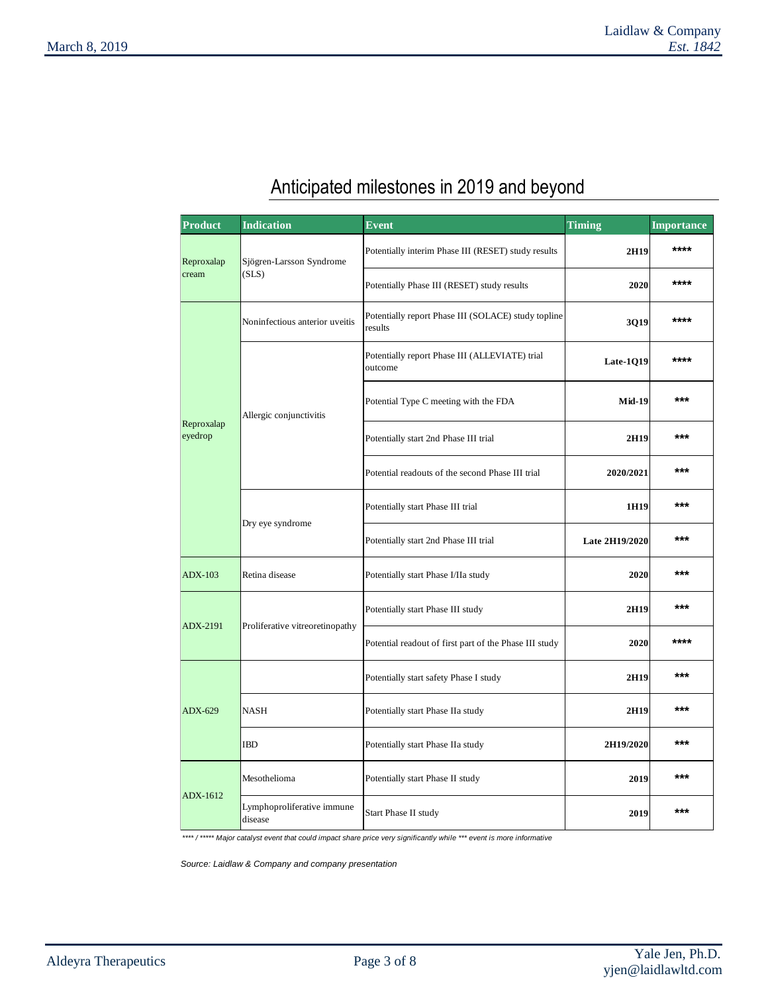# Anticipated milestones in 2019 and beyond

| <b>Product</b>        | <b>Indication</b>                     | <b>Event</b>                                                   | <b>Timing</b>  | <b>Importance</b> |
|-----------------------|---------------------------------------|----------------------------------------------------------------|----------------|-------------------|
| Reproxalap            | Sjögren-Larsson Syndrome              | Potentially interim Phase III (RESET) study results            | 2H19           | ****              |
| cream                 | (SLS)                                 | Potentially Phase III (RESET) study results                    | 2020           | ****              |
| Reproxalap<br>eyedrop | Noninfectious anterior uveitis        | Potentially report Phase III (SOLACE) study topline<br>results | 3Q19           | $****$            |
|                       |                                       | Potentially report Phase III (ALLEVIATE) trial<br>outcome      | Late-1Q19      | ****              |
|                       | Allergic conjunctivitis               | Potential Type C meeting with the FDA                          | <b>Mid-19</b>  | ***               |
|                       |                                       | Potentially start 2nd Phase III trial                          | 2H19           | ***               |
|                       |                                       | Potential readouts of the second Phase III trial               | 2020/2021      | ***               |
|                       | Dry eye syndrome                      | Potentially start Phase III trial                              | 1H19           | ***               |
|                       |                                       | Potentially start 2nd Phase III trial                          | Late 2H19/2020 | ***               |
| <b>ADX-103</b>        | Retina disease                        | Potentially start Phase I/IIa study                            | 2020           | ***               |
| ADX-2191              | Proliferative vitreoretinopathy       | Potentially start Phase III study                              | 2H19           | ***               |
|                       |                                       | Potential readout of first part of the Phase III study         | 2020           | $***$             |
|                       |                                       | Potentially start safety Phase I study                         | 2H19           | ***               |
| ADX-629               | <b>NASH</b>                           | Potentially start Phase IIa study                              | 2H19           | ***               |
|                       | <b>IBD</b>                            | Potentially start Phase IIa study                              | 2H19/2020      | ***               |
|                       | Mesothelioma                          | Potentially start Phase II study                               | 2019           | $***$             |
| ADX-1612              | Lymphoproliferative immune<br>disease | Start Phase II study                                           | 2019           | ***               |

*\*\*\*\* / \*\*\*\*\* Major catalyst event that could impact share price very significantly while \*\*\* event is more informative* 

*Source: Laidlaw & Company and company presentation*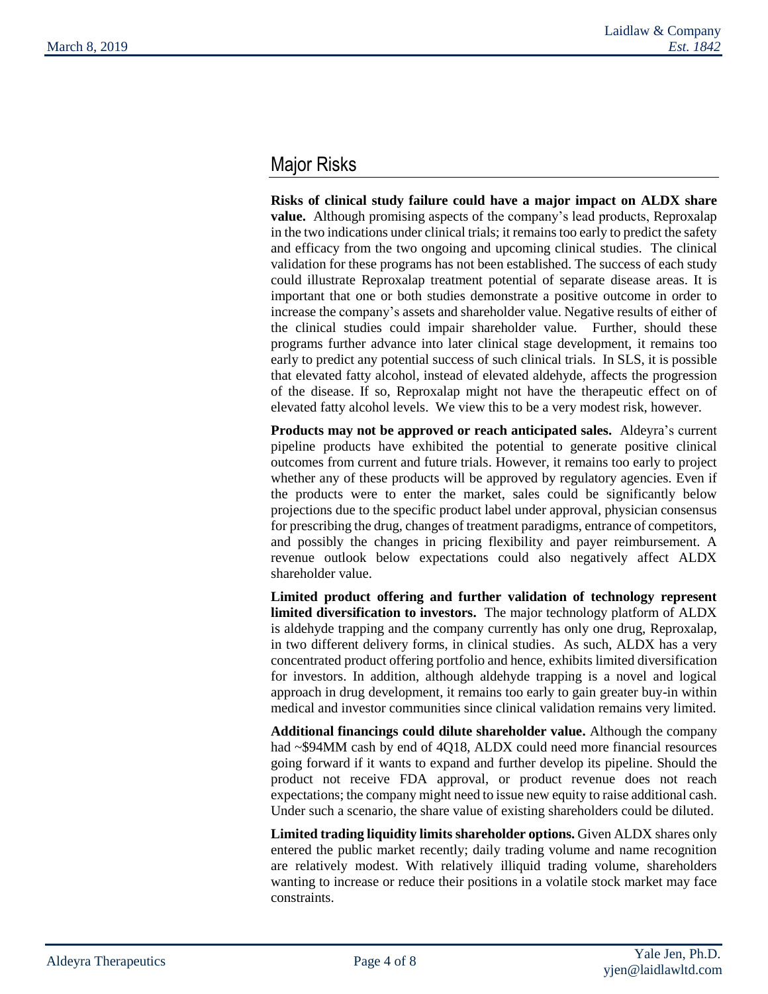## Major Risks

**Risks of clinical study failure could have a major impact on ALDX share value.** Although promising aspects of the company's lead products, Reproxalap in the two indications under clinical trials; it remains too early to predict the safety and efficacy from the two ongoing and upcoming clinical studies. The clinical validation for these programs has not been established. The success of each study could illustrate Reproxalap treatment potential of separate disease areas. It is important that one or both studies demonstrate a positive outcome in order to increase the company's assets and shareholder value. Negative results of either of the clinical studies could impair shareholder value. Further, should these programs further advance into later clinical stage development, it remains too early to predict any potential success of such clinical trials. In SLS, it is possible that elevated fatty alcohol, instead of elevated aldehyde, affects the progression of the disease. If so, Reproxalap might not have the therapeutic effect on of elevated fatty alcohol levels. We view this to be a very modest risk, however.

**Products may not be approved or reach anticipated sales.** Aldeyra's current pipeline products have exhibited the potential to generate positive clinical outcomes from current and future trials. However, it remains too early to project whether any of these products will be approved by regulatory agencies. Even if the products were to enter the market, sales could be significantly below projections due to the specific product label under approval, physician consensus for prescribing the drug, changes of treatment paradigms, entrance of competitors, and possibly the changes in pricing flexibility and payer reimbursement. A revenue outlook below expectations could also negatively affect ALDX shareholder value.

**Limited product offering and further validation of technology represent limited diversification to investors.** The major technology platform of ALDX is aldehyde trapping and the company currently has only one drug, Reproxalap, in two different delivery forms, in clinical studies. As such, ALDX has a very concentrated product offering portfolio and hence, exhibits limited diversification for investors. In addition, although aldehyde trapping is a novel and logical approach in drug development, it remains too early to gain greater buy-in within medical and investor communities since clinical validation remains very limited.

**Additional financings could dilute shareholder value.** Although the company had ~\$94MM cash by end of 4Q18, ALDX could need more financial resources going forward if it wants to expand and further develop its pipeline. Should the product not receive FDA approval, or product revenue does not reach expectations; the company might need to issue new equity to raise additional cash. Under such a scenario, the share value of existing shareholders could be diluted.

**Limited trading liquidity limits shareholder options.** Given ALDX shares only entered the public market recently; daily trading volume and name recognition are relatively modest. With relatively illiquid trading volume, shareholders wanting to increase or reduce their positions in a volatile stock market may face constraints.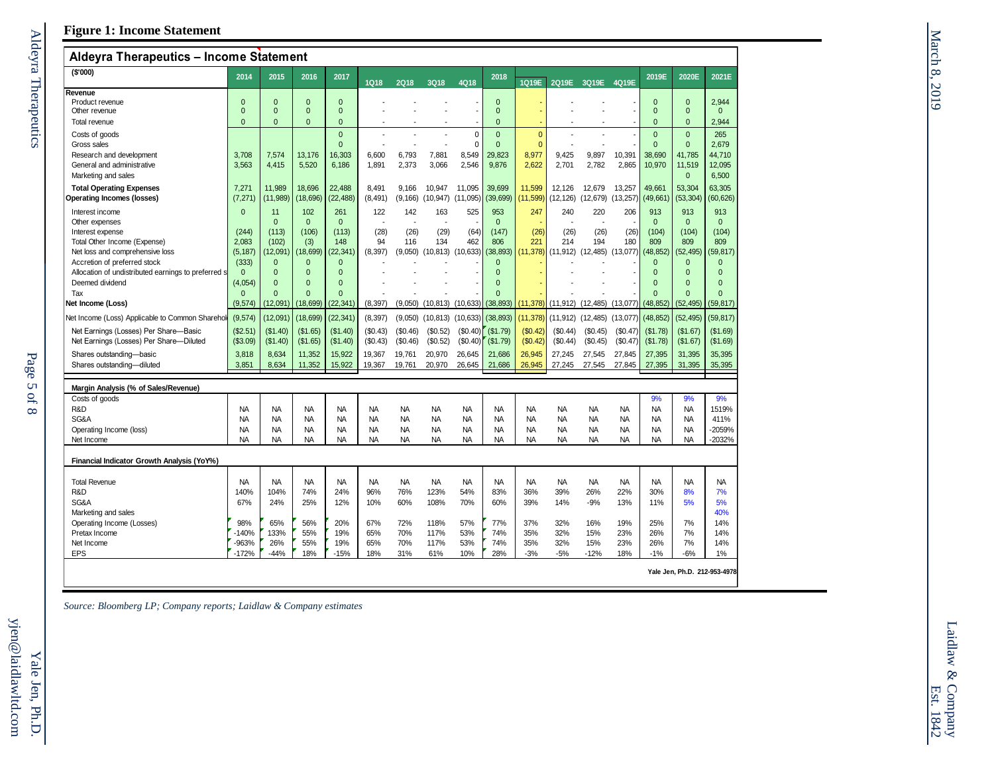| Aldeyra Therapeutics - Income Statement                |                                |                      |                                  |                              |                          |                  |                          |                        |                                |                              |                          |                      |                  |                          |                              |                              |
|--------------------------------------------------------|--------------------------------|----------------------|----------------------------------|------------------------------|--------------------------|------------------|--------------------------|------------------------|--------------------------------|------------------------------|--------------------------|----------------------|------------------|--------------------------|------------------------------|------------------------------|
| (S'000)                                                | 2014                           | 2015                 | 2016                             | 2017                         | <b>1Q18</b>              | <b>2Q18</b>      | 3Q18                     | 4Q18                   | 2018                           | 1Q19E                        | 2Q19E                    | 3Q19E                | 4Q19E            | 2019E                    | 2020E                        | 2021E                        |
| Revenue                                                |                                |                      |                                  |                              |                          |                  |                          |                        |                                |                              |                          |                      |                  |                          |                              |                              |
| Product revenue<br>Other revenue                       | $\mathbf{0}$<br>$\overline{0}$ | $\Omega$<br>$\Omega$ | $\overline{0}$<br>$\overline{0}$ | $\mathbf{0}$<br>$\mathbf{0}$ |                          |                  |                          |                        | $\overline{0}$<br>$\mathbf{0}$ |                              |                          |                      |                  | $\mathbf{0}$<br>$\Omega$ | $\mathbf{0}$<br>$\mathbf{0}$ | 2,944<br>$\mathbf{0}$        |
| Total revenue                                          | $\overline{0}$                 | $\Omega$             | $\overline{0}$                   | $\Omega$                     |                          |                  | $\overline{\phantom{a}}$ |                        | $\mathbf{0}$                   |                              |                          |                      |                  | $\Omega$                 | $\overline{0}$               | 2.944                        |
|                                                        |                                |                      |                                  |                              |                          |                  |                          |                        |                                |                              |                          |                      |                  |                          |                              |                              |
| Costs of goods<br>Gross sales                          |                                |                      |                                  | $\mathbf{0}$<br>$\mathbf{0}$ |                          | ÷.               | $\overline{a}$<br>J.     | $\mathbf 0$<br>0       | $\mathbf{0}$<br>$\mathbf{0}$   | $\mathbf{0}$<br>$\mathbf{0}$ | $\overline{a}$           |                      |                  | $\Omega$<br>$\Omega$     | $\mathbf{0}$<br>$\mathbf{0}$ | 265<br>2,679                 |
| Research and development                               | 3,708                          | 7,574                | 13,176                           | 16,303                       | 6,600                    | 6,793            | 7,881                    | 8,549                  | 29,823                         | 8,977                        | 9,425                    | 9,897                | 10,391           | 38,690                   | 41,785                       | 44,710                       |
| General and administrative                             | 3,563                          | 4,415                | 5,520                            | 6,186                        | 1,891                    | 2,373            | 3,066                    | 2,546                  | 9,876                          | 2,622                        | 2,701                    | 2,782                | 2,865            | 10,970                   | 11,519                       | 12,095                       |
| Marketing and sales                                    |                                |                      |                                  |                              |                          |                  |                          |                        |                                |                              |                          |                      |                  |                          | $\mathbf{0}$                 | 6,500                        |
| <b>Total Operating Expenses</b>                        | 7.271                          | 11,989               | 18.696                           | 22.488                       | 8.491                    | 9.166            | 10.947                   | 11.095                 | 39,699                         | 11.599                       | 12.126                   | 12.679               | 13,257           | 49.661                   | 53.304                       | 63.305                       |
| Operating Incomes (losses)                             | (7, 271)                       | (11, 989)            | (18, 696)                        | (22, 488)                    | (8, 491)                 | (9, 166)         | $(10,947)$ $(11,095)$    |                        | (39,699)                       | (11, 599)                    | (12, 126)                | (12, 679)            | (13, 257)        | (49, 661)                | (53, 304)                    | (60, 626)                    |
| Interest income                                        | $\Omega$                       | 11                   | 102                              | 261                          | 122                      | 142              | 163                      | 525                    | 953                            | 247                          | 240                      | 220                  | 206              | 913                      | 913                          | 913                          |
| Other expenses                                         |                                | $\Omega$             | $\mathbf{0}$                     | $\mathbf{0}$                 | $\overline{\phantom{a}}$ | $\sim$           | $\overline{\phantom{a}}$ |                        | $\mathbf{0}$                   |                              | $\overline{\phantom{a}}$ | $\sim$               |                  | $\mathbf{0}$             | $\mathbf{0}$                 | $\mathbf{0}$                 |
| Interest expense                                       | (244)                          | (113)                | (106)                            | (113)                        | (28)                     | (26)             | (29)                     | (64)                   | (147)                          | (26)                         | (26)                     | (26)                 | (26)             | (104)                    | (104)                        | (104)                        |
| Total Other Income (Expense)                           | 2,083                          | (102)                | (3)                              | 148                          | 94                       | 116              | 134                      | 462                    | 806                            | 221                          | 214                      | 194                  | 180              | 809                      | 809                          | 809                          |
| Net loss and comprehensive loss                        | (5, 187)                       | (12,091)             | (18, 699)                        | (22, 341)                    | (8, 397)                 | (9,050)          | $(10, 813)$ $(10, 633)$  |                        | (38, 893)                      | (11, 378)                    | (11, 912)                | (12, 485)            | (13,077)         | (48, 852)                | (52, 495)                    | (59, 817)                    |
| Accretion of preferred stock                           | (333)                          | $\mathbf{0}$         | $\mathbf{0}$                     | $\mathbf{0}$                 |                          |                  |                          |                        | $\mathbf{0}$                   |                              |                          |                      |                  | $\mathbf{0}$             | $\mathbf{0}$                 | $\mathbf{0}$                 |
| Allocation of undistributed earnings to preferred st   | $\mathbf{0}$                   | $\Omega$             | $\Omega$                         | $\Omega$                     |                          |                  |                          |                        | $\Omega$                       |                              |                          |                      |                  | $\Omega$                 | $\Omega$                     | $\Omega$                     |
| Deemed dividend<br>Tax                                 | (4,054)<br>$\Omega$            | $\Omega$<br>$\Omega$ | $\Omega$<br>$\Omega$             | $\Omega$<br>$\Omega$         |                          |                  |                          |                        | $\Omega$<br>$\Omega$           |                              |                          |                      |                  | $\Omega$<br>$\Omega$     | $\Omega$<br>$\Omega$         | $\Omega$<br>$\Omega$         |
| Net Income (Loss)                                      | (9, 574)                       | (12,091)             | (18, 699)                        | (22, 341)                    | (8, 397)                 | (9,050)          | $(10, 813)$ $(10, 633)$  |                        | (38, 893)                      | (11, 378)                    | (11, 912)                | (12, 485)            | (13,077)         | (48, 852)                | (52, 495)                    | (59, 817)                    |
| Net Income (Loss) Applicable to Common Sharehol        | (9,574)                        | (12,091)             | (18, 699)                        | (22, 341)                    | (8, 397)                 | (9,050)          | $(10, 813)$ $(10, 633)$  |                        | (38, 893)                      | (11, 378)                    | (11, 912)                | (12, 485)            | (13,077)         | (48, 852)                | (52, 495)                    | (59, 817)                    |
| Net Earnings (Losses) Per Share-Basic                  | (\$2.51)                       |                      |                                  |                              | (\$0.43)                 | (\$0.46)         | (\$0.52)                 |                        |                                |                              | (\$0.44)                 |                      | (S0.47)          |                          |                              |                              |
| Net Earnings (Losses) Per Share-Diluted                | (\$3.09)                       | (\$1.40)<br>(\$1.40) | (\$1.65)<br>(\$1.65)             | (\$1.40)<br>(\$1.40)         | (\$0.43)                 | (\$0.46)         | (\$0.52)                 | $(\$0.40)$<br>(\$0.40) | ( \$1.79)<br>(\$1.79)          | (S0.42)<br>(\$0.42)          | (\$0.44)                 | (\$0.45)<br>(\$0.45) | (\$0.47)         | (\$1.78)<br>(\$1.78)     | (\$1.67)<br>(\$1.67)         | (\$1.69)<br>(\$1.69)         |
|                                                        |                                |                      |                                  |                              |                          |                  |                          |                        |                                |                              |                          |                      |                  |                          |                              |                              |
| Shares outstanding-basic<br>Shares outstanding-diluted | 3.818<br>3,851                 | 8,634<br>8,634       | 11,352<br>11,352                 | 15,922<br>15,922             | 19,367<br>19,367         | 19,761<br>19,761 | 20,970<br>20,970         | 26,645<br>26,645       | 21,686<br>21,686               | 26,945<br>26,945             | 27,245<br>27,245         | 27,545<br>27,545     | 27,845<br>27,845 | 27,395<br>27,395         | 31,395<br>31,395             | 35,395<br>35,395             |
|                                                        |                                |                      |                                  |                              |                          |                  |                          |                        |                                |                              |                          |                      |                  |                          |                              |                              |
| Margin Analysis (% of Sales/Revenue)                   |                                |                      |                                  |                              |                          |                  |                          |                        |                                |                              |                          |                      |                  |                          |                              |                              |
| Costs of goods                                         |                                |                      |                                  |                              |                          |                  |                          |                        |                                |                              |                          |                      |                  | 9%                       | 9%                           | 9%                           |
| R&D                                                    | <b>NA</b>                      | <b>NA</b>            | <b>NA</b>                        | <b>NA</b>                    | <b>NA</b>                | <b>NA</b>        | <b>NA</b>                | <b>NA</b>              | <b>NA</b>                      | <b>NA</b>                    | <b>NA</b>                | <b>NA</b>            | <b>NA</b>        | <b>NA</b>                | <b>NA</b>                    | 1519%                        |
| SG&A                                                   | <b>NA</b>                      | <b>NA</b>            | <b>NA</b>                        | <b>NA</b>                    | <b>NA</b>                | <b>NA</b>        | <b>NA</b>                | <b>NA</b>              | <b>NA</b>                      | <b>NA</b>                    | <b>NA</b>                | <b>NA</b>            | <b>NA</b>        | <b>NA</b>                | <b>NA</b>                    | 411%                         |
| Operating Income (loss)                                | <b>NA</b>                      | <b>NA</b>            | <b>NA</b>                        | <b>NA</b>                    | <b>NA</b>                | <b>NA</b>        | <b>NA</b>                | <b>NA</b>              | <b>NA</b>                      | <b>NA</b>                    | <b>NA</b>                | <b>NA</b>            | <b>NA</b>        | <b>NA</b>                | <b>NA</b>                    | -2059%                       |
| Net Income                                             | <b>NA</b>                      | <b>NA</b>            | <b>NA</b>                        | <b>NA</b>                    | <b>NA</b>                | <b>NA</b>        | <b>NA</b>                | <b>NA</b>              | <b>NA</b>                      | <b>NA</b>                    | <b>NA</b>                | <b>NA</b>            | <b>NA</b>        | <b>NA</b>                | <b>NA</b>                    | -2032%                       |
| Financial Indicator Growth Analysis (YoY%)             |                                |                      |                                  |                              |                          |                  |                          |                        |                                |                              |                          |                      |                  |                          |                              |                              |
| <b>Total Revenue</b>                                   | <b>NA</b>                      | <b>NA</b>            | <b>NA</b>                        | <b>NA</b>                    | <b>NA</b>                | <b>NA</b>        | <b>NA</b>                | <b>NA</b>              | <b>NA</b>                      | <b>NA</b>                    | <b>NA</b>                | <b>NA</b>            | <b>NA</b>        | <b>NA</b>                | <b>NA</b>                    | <b>NA</b>                    |
| R&D                                                    | 140%                           | 104%                 | 74%                              | 24%                          | 96%                      | 76%              | 123%                     | 54%                    | 83%                            | 36%                          | 39%                      | 26%                  | 22%              | 30%                      | 8%                           | 7%                           |
| SG&A                                                   | 67%                            | 24%                  | 25%                              | 12%                          | 10%                      | 60%              | 108%                     | 70%                    | 60%                            | 39%                          | 14%                      | $-9%$                | 13%              | 11%                      | 5%                           | 5%                           |
| Marketing and sales                                    |                                |                      |                                  |                              |                          |                  |                          |                        |                                |                              |                          |                      |                  |                          |                              | 40%                          |
| Operating Income (Losses)                              | 98%                            | 65%                  | 56%                              | 20%                          | 67%                      | 72%              | 118%                     | 57%                    | 77%                            | 37%                          | 32%                      | 16%                  | 19%              | 25%                      | 7%                           | 14%                          |
| Pretax Income                                          | $-140%$                        | 133%                 | 55%                              | 19%                          | 65%                      | 70%              | 117%                     | 53%                    | 74%                            | 35%                          | 32%                      | 15%                  | 23%              | 26%                      | 7%                           | 14%                          |
| Net Income                                             | -963%                          | 26%                  | 55%                              | 19%                          | 65%                      | 70%              | 117%                     | 53%                    | 74%                            | 35%                          | 32%                      | 15%                  | 23%              | 26%                      | 7%                           | 14%                          |
| <b>EPS</b>                                             | $-172%$                        | $-44%$               | 18%                              | $-15%$                       | 18%                      | 31%              | 61%                      | 10%                    | 28%                            | $-3%$                        | $-5%$                    | $-12%$               | 18%              | $-1%$                    | $-6%$                        | 1%                           |
|                                                        |                                |                      |                                  |                              |                          |                  |                          |                        |                                |                              |                          |                      |                  |                          |                              | Yale Jen, Ph.D. 212-953-4978 |

*Source: Bloomberg LP; Company reports; Laidlaw & Company estimates*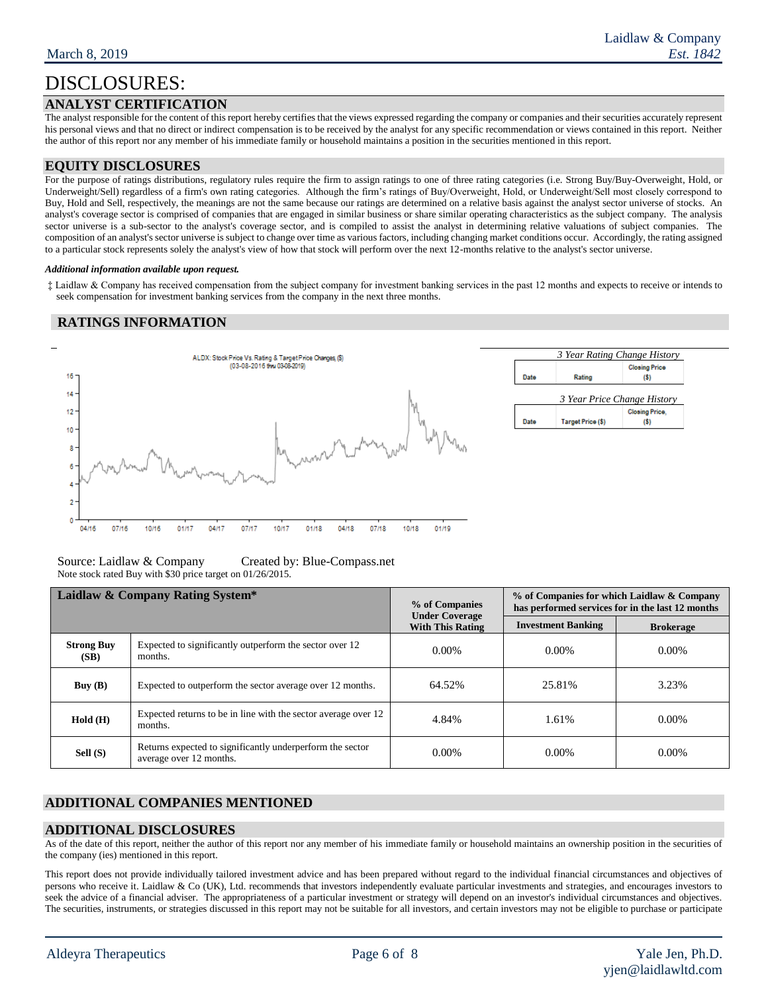## **ANALYST CERTIFICATION**

The analyst responsible for the content of this report hereby certifies that the views expressed regarding the company or companies and their securities accurately represent his personal views and that no direct or indirect compensation is to be received by the analyst for any specific recommendation or views contained in this report. Neither the author of this report nor any member of his immediate family or household maintains a position in the securities mentioned in this report.

### **EQUITY DISCLOSURES**

For the purpose of ratings distributions, regulatory rules require the firm to assign ratings to one of three rating categories (i.e. Strong Buy/Buy-Overweight, Hold, or Underweight/Sell) regardless of a firm's own rating categories. Although the firm's ratings of Buy/Overweight, Hold, or Underweight/Sell most closely correspond to Buy, Hold and Sell, respectively, the meanings are not the same because our ratings are determined on a relative basis against the analyst sector universe of stocks. An analyst's coverage sector is comprised of companies that are engaged in similar business or share similar operating characteristics as the subject company. The analysis sector universe is a sub-sector to the analyst's coverage sector, and is compiled to assist the analyst in determining relative valuations of subject companies. The composition of an analyst's sector universe is subject to change over time as various factors, including changing market conditions occur. Accordingly, the rating assigned to a particular stock represents solely the analyst's view of how that stock will perform over the next 12-months relative to the analyst's sector universe.

#### *Additional information available upon request.*

‡ Laidlaw & Company has received compensation from the subject company for investment banking services in the past 12 months and expects to receive or intends to seek compensation for investment banking services from the company in the next three months.

### **RATINGS INFORMATION**



Source: Laidlaw & Company Created by: Blue-Compass.net Note stock rated Buy with \$30 price target on 01/26/2015.

|                           | Laidlaw & Company Rating System*                                                     | % of Companies<br><b>Under Coverage</b> | % of Companies for which Laidlaw & Company<br>has performed services for in the last 12 months |                  |  |  |
|---------------------------|--------------------------------------------------------------------------------------|-----------------------------------------|------------------------------------------------------------------------------------------------|------------------|--|--|
|                           |                                                                                      | <b>With This Rating</b>                 | <b>Investment Banking</b>                                                                      | <b>Brokerage</b> |  |  |
| <b>Strong Buy</b><br>(SB) | Expected to significantly outperform the sector over 12<br>months.                   | $0.00\%$                                | $0.00\%$                                                                                       | $0.00\%$         |  |  |
| Buy(B)                    | Expected to outperform the sector average over 12 months.                            | 64.52%                                  | 25.81%                                                                                         | 3.23%            |  |  |
| Hold(H)                   | Expected returns to be in line with the sector average over 12<br>months.            | 4.84%                                   | 1.61%                                                                                          | $0.00\%$         |  |  |
| Sell (S)                  | Returns expected to significantly underperform the sector<br>average over 12 months. | $0.00\%$                                | $0.00\%$                                                                                       | $0.00\%$         |  |  |

## **ADDITIONAL COMPANIES MENTIONED**

### **ADDITIONAL DISCLOSURES**

As of the date of this report, neither the author of this report nor any member of his immediate family or household maintains an ownership position in the securities of the company (ies) mentioned in this report.

This report does not provide individually tailored investment advice and has been prepared without regard to the individual financial circumstances and objectives of persons who receive it. Laidlaw & Co (UK), Ltd. recommends that investors independently evaluate particular investments and strategies, and encourages investors to seek the advice of a financial adviser. The appropriateness of a particular investment or strategy will depend on an investor's individual circumstances and objectives. The securities, instruments, or strategies discussed in this report may not be suitable for all investors, and certain investors may not be eligible to purchase or participate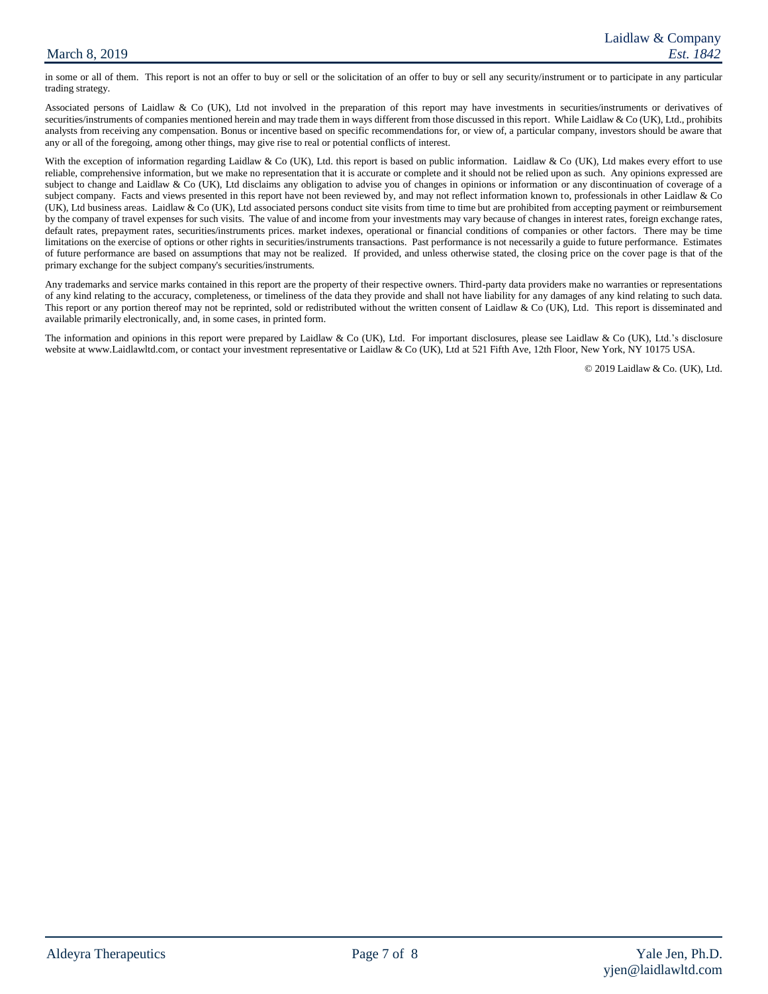### March 8, 2019

in some or all of them. This report is not an offer to buy or sell or the solicitation of an offer to buy or sell any security/instrument or to participate in any particular trading strategy.

Associated persons of Laidlaw & Co (UK), Ltd not involved in the preparation of this report may have investments in securities/instruments or derivatives of securities/instruments of companies mentioned herein and may trade them in ways different from those discussed in this report. While Laidlaw & Co (UK), Ltd., prohibits analysts from receiving any compensation. Bonus or incentive based on specific recommendations for, or view of, a particular company, investors should be aware that any or all of the foregoing, among other things, may give rise to real or potential conflicts of interest.

With the exception of information regarding Laidlaw & Co (UK), Ltd. this report is based on public information. Laidlaw & Co (UK), Ltd makes every effort to use reliable, comprehensive information, but we make no representation that it is accurate or complete and it should not be relied upon as such. Any opinions expressed are subject to change and Laidlaw & Co (UK), Ltd disclaims any obligation to advise you of changes in opinions or information or any discontinuation of coverage of a subject company. Facts and views presented in this report have not been reviewed by, and may not reflect information known to, professionals in other Laidlaw & Co (UK), Ltd business areas. Laidlaw & Co (UK), Ltd associated persons conduct site visits from time to time but are prohibited from accepting payment or reimbursement by the company of travel expenses for such visits. The value of and income from your investments may vary because of changes in interest rates, foreign exchange rates, default rates, prepayment rates, securities/instruments prices. market indexes, operational or financial conditions of companies or other factors. There may be time limitations on the exercise of options or other rights in securities/instruments transactions. Past performance is not necessarily a guide to future performance. Estimates of future performance are based on assumptions that may not be realized. If provided, and unless otherwise stated, the closing price on the cover page is that of the primary exchange for the subject company's securities/instruments.

Any trademarks and service marks contained in this report are the property of their respective owners. Third-party data providers make no warranties or representations of any kind relating to the accuracy, completeness, or timeliness of the data they provide and shall not have liability for any damages of any kind relating to such data. This report or any portion thereof may not be reprinted, sold or redistributed without the written consent of Laidlaw & Co (UK), Ltd. This report is disseminated and available primarily electronically, and, in some cases, in printed form.

The information and opinions in this report were prepared by Laidlaw & Co (UK), Ltd. For important disclosures, please see Laidlaw & Co (UK), Ltd.'s disclosure website at www.Laidlawltd.com, or contact your investment representative or Laidlaw & Co (UK), Ltd at 521 Fifth Ave, 12th Floor, New York, NY 10175 USA.

© 2019 Laidlaw & Co. (UK), Ltd.